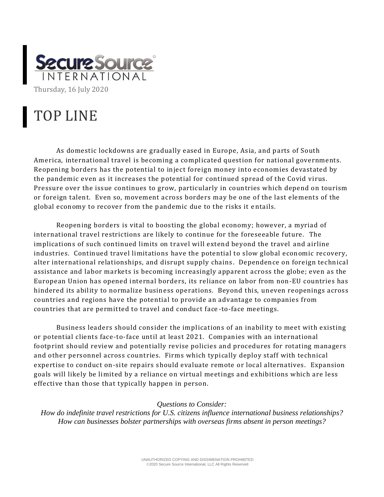

## TOP LINE

As domestic lockdowns are gradually eased in Europe, Asia, and parts of South America, international travel is becoming a complicated question for national governments. Reopening borders has the potential to inject foreign money into economies devastated by the pandemic even as it increases the potential for continued spread of the Covid virus. Pressure over the issue continues to grow, particularly in countries which depend on tourism or foreign talent. Even so, movement across borders may be one of the last elements of the global economy to recover from the pandemic due to the risks it e ntails.

Reopening borders is vital to boosting the global economy; however, a myriad of international travel restrictions are likely to continue for the foreseeable future. The implications of such continued limits on travel will extend beyond the travel and airline industries. Continued travel limitations have the potential to slow global economic recovery, alter international relationships, and disrupt supply chains. Dependence on foreign technical assistance and labor markets is becoming increasingly apparent across the globe; even as the European Union has opened internal borders, its reliance on labor from non-EU countries has hindered its ability to normalize business operations. Beyond this, uneven reopenings across countries and regions have the potential to provide an advantage to companies from countries that are permitted to travel and conduct face -to-face meetings.

Business leaders should consider the implications of an inability to meet with existing or potential clients face-to-face until at least 2021. Companies with an international footprint should review and potentially revise policies and procedures for rotating managers and other personnel across countries. Firms which typically deploy staff with technical expertise to conduct on-site repairs should evaluate remote or local alternatives. Expansion goals will likely be limited by a reliance on virtual meetings and exhibitions which are less effective than those that typically happen in person.

## *Questions to Consider:*

*How do indefinite travel restrictions for U.S. citizens influence international business relationships? How can businesses bolster partnerships with overseas firms absent in person meetings?*